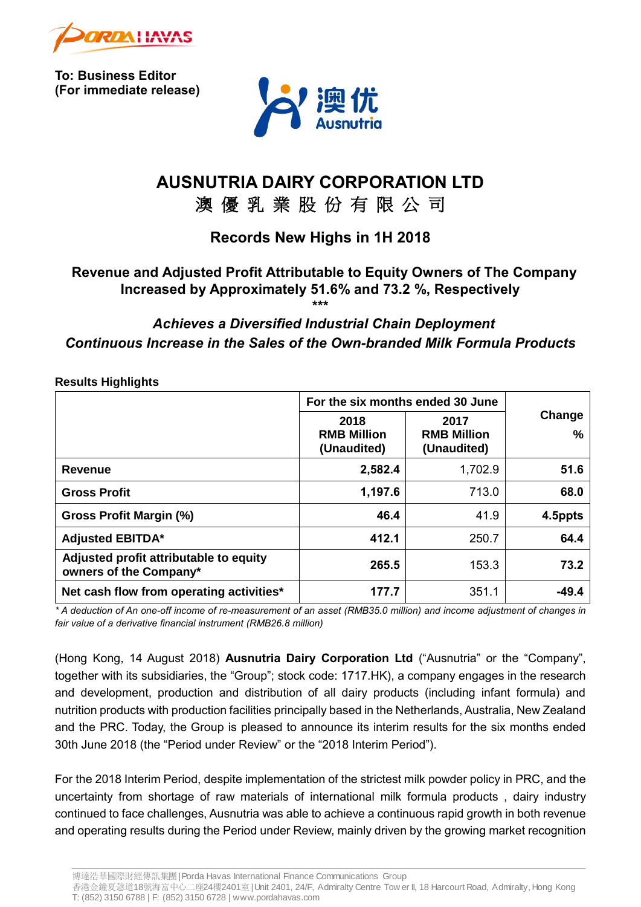

**To: Business Editor (For immediate release)**



# **AUSNUTRIA DAIRY CORPORATION LTD**

## 澳 優 乳 業 股 份 有 限 公 司

### **Records New Highs in 1H 2018**

## **Revenue and Adjusted Profit Attributable to Equity Owners of The Company Increased by Approximately 51.6% and 73.2 %, Respectively**

**\*\*\***

### *Achieves a Diversified Industrial Chain Deployment Continuous Increase in the Sales of the Own-branded Milk Formula Products*

|                                                                  | For the six months ended 30 June          |                                           |                         |
|------------------------------------------------------------------|-------------------------------------------|-------------------------------------------|-------------------------|
|                                                                  | 2018<br><b>RMB Million</b><br>(Unaudited) | 2017<br><b>RMB Million</b><br>(Unaudited) | Change<br>$\frac{0}{0}$ |
| <b>Revenue</b>                                                   | 2,582.4                                   | 1,702.9                                   | 51.6                    |
| <b>Gross Profit</b>                                              | 1,197.6                                   | 713.0                                     | 68.0                    |
| Gross Profit Margin (%)                                          | 46.4                                      | 41.9                                      | 4.5ppts                 |
| <b>Adjusted EBITDA*</b>                                          | 412.1                                     | 250.7                                     | 64.4                    |
| Adjusted profit attributable to equity<br>owners of the Company* | 265.5                                     | 153.3                                     | 73.2                    |
| Net cash flow from operating activities*                         | 177.7                                     | 351.1                                     | $-49.4$                 |

**Results Highlights**

*\* A deduction of An one-off income of re-measurement of an asset (RMB35.0 million) and income adjustment of changes in fair value of a derivative financial instrument (RMB26.8 million)*

(Hong Kong, 14 August 2018) **Ausnutria Dairy Corporation Ltd** ("Ausnutria" or the "Company", together with its subsidiaries, the "Group"; stock code: 1717.HK), a company engages in the research and development, production and distribution of all dairy products (including infant formula) and nutrition products with production facilities principally based in the Netherlands, Australia, New Zealand and the PRC. Today, the Group is pleased to announce its interim results for the six months ended 30th June 2018 (the "Period under Review" or the "2018 Interim Period").

For the 2018 Interim Period, despite implementation of the strictest milk powder policy in PRC, and the uncertainty from shortage of raw materials of international milk formula products , dairy industry continued to face challenges, Ausnutria was able to achieve a continuous rapid growth in both revenue and operating results during the Period under Review, mainly driven by the growing market recognition

博達浩華國際財經傳訊集團| Porda Havas International Finance Communications Group

香港金鐘夏愨道18號海富中心二座24樓2401<sup>室</sup>| Unit 2401, 24/F, Admiralty Centre Tow er II, 18 Harcourt Road, Admiralty, Hong Kong T: (852) 3150 6788 | F: (852) 3150 6728 | www.pordahavas.com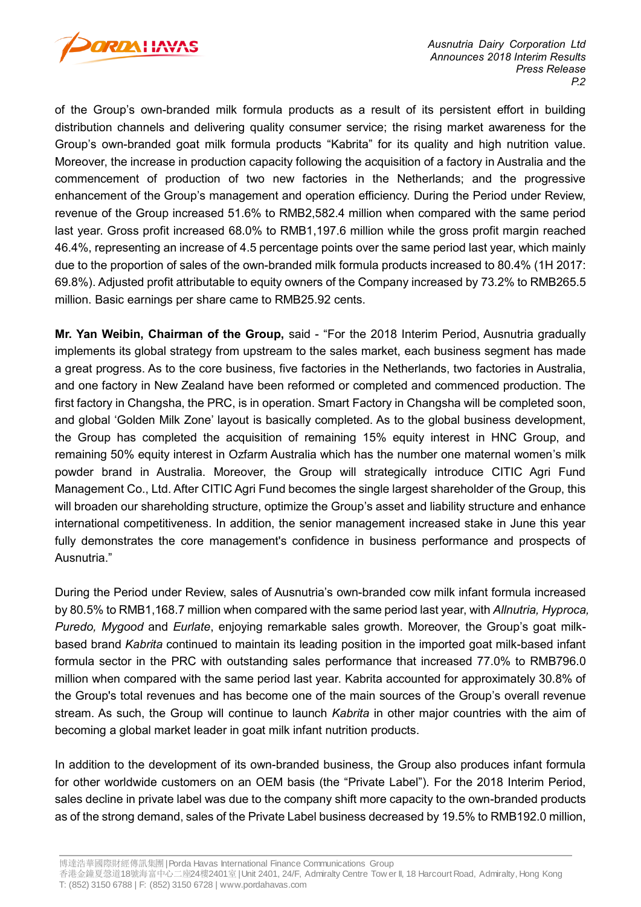

of the Group's own-branded milk formula products as a result of its persistent effort in building distribution channels and delivering quality consumer service; the rising market awareness for the Group's own-branded goat milk formula products "Kabrita" for its quality and high nutrition value. Moreover, the increase in production capacity following the acquisition of a factory in Australia and the commencement of production of two new factories in the Netherlands; and the progressive enhancement of the Group's management and operation efficiency. During the Period under Review, revenue of the Group increased 51.6% to RMB2,582.4 million when compared with the same period last year. Gross profit increased 68.0% to RMB1,197.6 million while the gross profit margin reached 46.4%, representing an increase of 4.5 percentage points over the same period last year, which mainly due to the proportion of sales of the own-branded milk formula products increased to 80.4% (1H 2017: 69.8%). Adjusted profit attributable to equity owners of the Company increased by 73.2% to RMB265.5 million. Basic earnings per share came to RMB25.92 cents.

**Mr. Yan Weibin, Chairman of the Group,** said - "For the 2018 Interim Period, Ausnutria gradually implements its global strategy from upstream to the sales market, each business segment has made a great progress. As to the core business, five factories in the Netherlands, two factories in Australia, and one factory in New Zealand have been reformed or completed and commenced production. The first factory in Changsha, the PRC, is in operation. Smart Factory in Changsha will be completed soon, and global 'Golden Milk Zone' layout is basically completed. As to the global business development, the Group has completed the acquisition of remaining 15% equity interest in HNC Group, and remaining 50% equity interest in Ozfarm Australia which has the number one maternal women's milk powder brand in Australia. Moreover, the Group will strategically introduce CITIC Agri Fund Management Co., Ltd. After CITIC Agri Fund becomes the single largest shareholder of the Group, this will broaden our shareholding structure, optimize the Group's asset and liability structure and enhance international competitiveness. In addition, the senior management increased stake in June this year fully demonstrates the core management's confidence in business performance and prospects of Ausnutria."

During the Period under Review, sales of Ausnutria's own-branded cow milk infant formula increased by 80.5% to RMB1,168.7 million when compared with the same period last year, with *Allnutria, Hyproca, Puredo, Mygood* and *Eurlate*, enjoying remarkable sales growth. Moreover, the Group's goat milkbased brand *Kabrita* continued to maintain its leading position in the imported goat milk-based infant formula sector in the PRC with outstanding sales performance that increased 77.0% to RMB796.0 million when compared with the same period last year. Kabrita accounted for approximately 30.8% of the Group's total revenues and has become one of the main sources of the Group's overall revenue stream. As such, the Group will continue to launch *Kabrita* in other major countries with the aim of becoming a global market leader in goat milk infant nutrition products.

In addition to the development of its own-branded business, the Group also produces infant formula for other worldwide customers on an OEM basis (the "Private Label"). For the 2018 Interim Period, sales decline in private label was due to the company shift more capacity to the own-branded products as of the strong demand, sales of the Private Label business decreased by 19.5% to RMB192.0 million,

博達浩華國際財經傳訊集團| Porda Havas International Finance Communications Group

香港金鐘夏愨道18號海富中心二座24樓2401室 | Unit 2401, 24/F, Admiralty Centre Tow er II, 18 Harcourt Road, Admiralty, Hong Kong T: (852) 3150 6788 | F: (852) 3150 6728 | www.pordahavas.com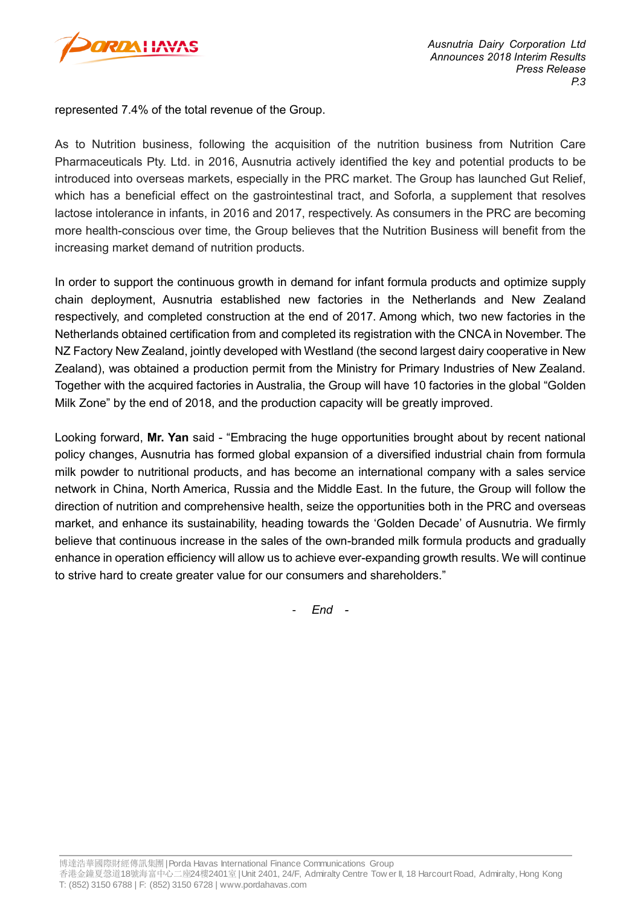

represented 7.4% of the total revenue of the Group.

As to Nutrition business, following the acquisition of the nutrition business from Nutrition Care Pharmaceuticals Pty. Ltd. in 2016, Ausnutria actively identified the key and potential products to be introduced into overseas markets, especially in the PRC market. The Group has launched Gut Relief, which has a beneficial effect on the gastrointestinal tract, and Soforla, a supplement that resolves lactose intolerance in infants, in 2016 and 2017, respectively. As consumers in the PRC are becoming more health-conscious over time, the Group believes that the Nutrition Business will benefit from the increasing market demand of nutrition products.

In order to support the continuous growth in demand for infant formula products and optimize supply chain deployment, Ausnutria established new factories in the Netherlands and New Zealand respectively, and completed construction at the end of 2017. Among which, two new factories in the Netherlands obtained certification from and completed its registration with the CNCA in November. The NZ Factory New Zealand, jointly developed with Westland (the second largest dairy cooperative in New Zealand), was obtained a production permit from the Ministry for Primary Industries of New Zealand. Together with the acquired factories in Australia, the Group will have 10 factories in the global "Golden Milk Zone" by the end of 2018, and the production capacity will be greatly improved.

Looking forward, **Mr. Yan** said - "Embracing the huge opportunities brought about by recent national policy changes, Ausnutria has formed global expansion of a diversified industrial chain from formula milk powder to nutritional products, and has become an international company with a sales service network in China, North America, Russia and the Middle East. In the future, the Group will follow the direction of nutrition and comprehensive health, seize the opportunities both in the PRC and overseas market, and enhance its sustainability, heading towards the 'Golden Decade' of Ausnutria. We firmly believe that continuous increase in the sales of the own-branded milk formula products and gradually enhance in operation efficiency will allow us to achieve ever-expanding growth results. We will continue to strive hard to create greater value for our consumers and shareholders."

- *End -*